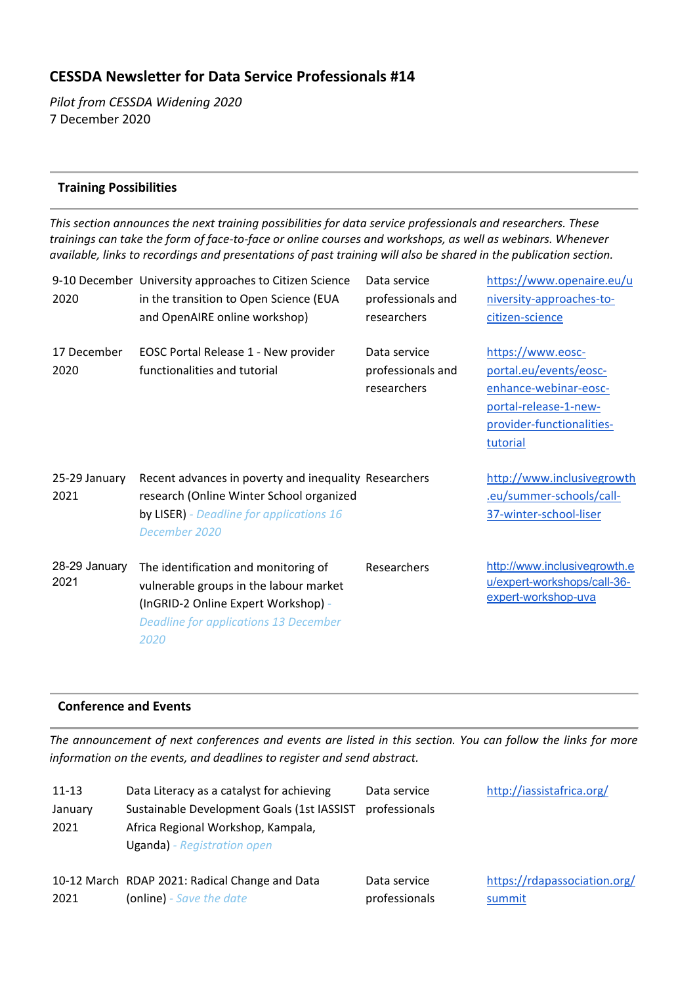# **CESSDA Newsletter for Data Service Professionals #14**

*Pilot from CESSDA Widening 2020* 7 December 2020

### **Training Possibilities**

*This section announces the next training possibilities for data service professionals and researchers. These trainings can take the form of face-to-face or online courses and workshops, as well as webinars. Whenever available, links to recordings and presentations of past training will also be shared in the publication section.*

| 2020                  | 9-10 December University approaches to Citizen Science<br>in the transition to Open Science (EUA<br>and OpenAIRE online workshop)                                             | Data service<br>professionals and<br>researchers | https://www.openaire.eu/u<br>niversity-approaches-to-<br>citizen-science                                                               |
|-----------------------|-------------------------------------------------------------------------------------------------------------------------------------------------------------------------------|--------------------------------------------------|----------------------------------------------------------------------------------------------------------------------------------------|
| 17 December<br>2020   | EOSC Portal Release 1 - New provider<br>functionalities and tutorial                                                                                                          | Data service<br>professionals and<br>researchers | https://www.eosc-<br>portal.eu/events/eosc-<br>enhance-webinar-eosc-<br>portal-release-1-new-<br>provider-functionalities-<br>tutorial |
| 25-29 January<br>2021 | Recent advances in poverty and inequality Researchers<br>research (Online Winter School organized<br>by LISER) - Deadline for applications 16<br>December 2020                |                                                  | http://www.inclusivegrowth<br>.eu/summer-schools/call-<br>37-winter-school-liser                                                       |
| 28-29 January<br>2021 | The identification and monitoring of<br>vulnerable groups in the labour market<br>(InGRID-2 Online Expert Workshop) -<br><b>Deadline for applications 13 December</b><br>2020 | Researchers                                      | http://www.inclusivegrowth.e<br>u/expert-workshops/call-36-<br>expert-workshop-uva                                                     |

#### **Conference and Events**

*The announcement of next conferences and events are listed in this section. You can follow the links for more information on the events, and deadlines to register and send abstract.*

| $11 - 13$       | Data Literacy as a catalyst for achieving                                                                              | Data service                  | http://iassistafrica.org/              |
|-----------------|------------------------------------------------------------------------------------------------------------------------|-------------------------------|----------------------------------------|
| January<br>2021 | Sustainable Development Goals (1st IASSIST<br>Africa Regional Workshop, Kampala,<br><b>Uganda)</b> - Registration open | professionals                 |                                        |
| 2021            | 10-12 March RDAP 2021: Radical Change and Data<br>(online) - Save the date                                             | Data service<br>professionals | https://rdapassociation.org/<br>summit |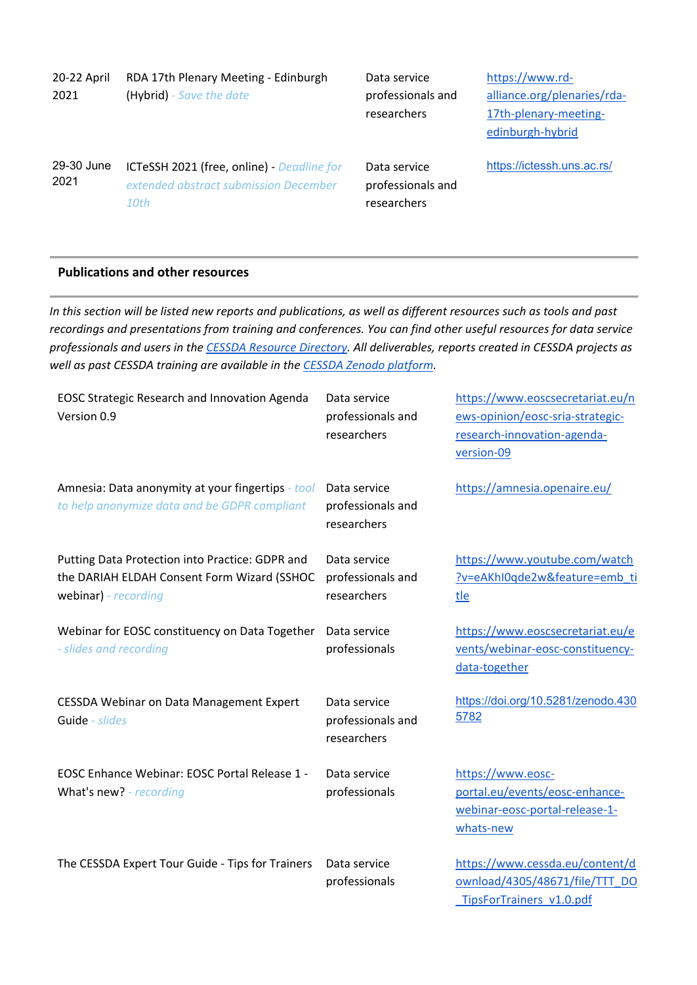| 20-22 April<br>2021 | RDA 17th Plenary Meeting - Edinburgh<br>(Hybrid) - Save the date                            | Data service<br>professionals and<br>researchers | https://www.rd-<br>alliance.org/plenaries/rda-<br>17th-plenary-meeting-<br>edinburgh-hybrid |
|---------------------|---------------------------------------------------------------------------------------------|--------------------------------------------------|---------------------------------------------------------------------------------------------|
| 29-30 June<br>2021  | ICTeSSH 2021 (free, online) - Deadline for<br>extended abstract submission December<br>10th | Data service<br>professionals and<br>researchers | https://ictessh.uns.ac.rs/                                                                  |

#### **Publications and other resources**

*In this section will be listed new reports and publications, as well as different resources such as tools and past recordings and presentations from training and conferences. You can find other useful resources for data service professionals and users in the [CESSDA Resource Directory.](https://www.zotero.org/groups/2382601/cessda_resource_directory/library) All deliverables, reports created in CESSDA projects as well as past CESSDA training are available in the [CESSDA Zenodo platform.](https://zenodo.org/communities/cessda/)*

| <b>EOSC Strategic Research and Innovation Agenda</b><br>Version 0.9                                                    | Data service<br>professionals and<br>researchers | https://www.eoscsecretariat.eu/n<br>ews-opinion/eosc-sria-strategic-<br>research-innovation-agenda-<br>version-09 |
|------------------------------------------------------------------------------------------------------------------------|--------------------------------------------------|-------------------------------------------------------------------------------------------------------------------|
| Amnesia: Data anonymity at your fingertips - tool<br>to help anonymize data and be GDPR compliant                      | Data service<br>professionals and<br>researchers | https://amnesia.openaire.eu/                                                                                      |
| Putting Data Protection into Practice: GDPR and<br>the DARIAH ELDAH Consent Form Wizard (SSHOC<br>webinar) - recording | Data service<br>professionals and<br>researchers | https://www.youtube.com/watch<br>?v=eAKhI0qde2w&feature=emb_ti<br>tle                                             |
| Webinar for EOSC constituency on Data Together<br>- slides and recording                                               | Data service<br>professionals                    | https://www.eoscsecretariat.eu/e<br>vents/webinar-eosc-constituency-<br>data-together                             |
| CESSDA Webinar on Data Management Expert<br>Guide - slides                                                             | Data service<br>professionals and<br>researchers | https://doi.org/10.5281/zenodo.430<br>5782                                                                        |
| EOSC Enhance Webinar: EOSC Portal Release 1 -<br>What's new? - recording                                               | Data service<br>professionals                    | https://www.eosc-<br>portal.eu/events/eosc-enhance-<br>webinar-eosc-portal-release-1-<br>whats-new                |
| The CESSDA Expert Tour Guide - Tips for Trainers                                                                       | Data service<br>professionals                    | https://www.cessda.eu/content/d<br>ownload/4305/48671/file/TTT_DO<br>TipsForTrainers v1.0.pdf                     |